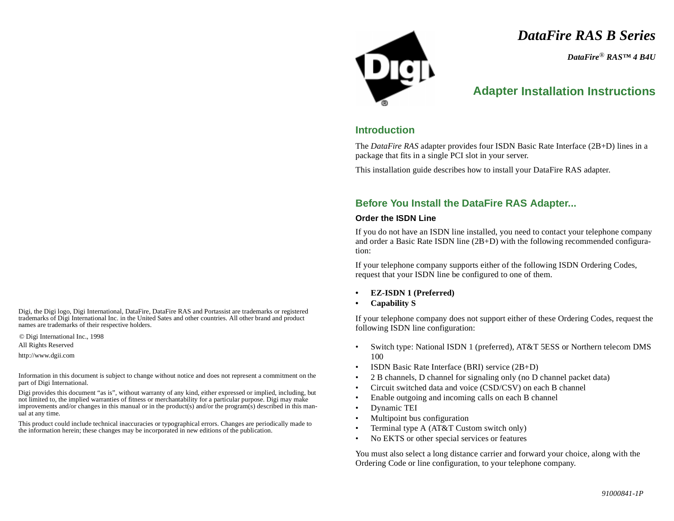*DataFire RAS B Series*

*DataFire*® *RAS™ 4 B4U*

# **Adapter Installation Instructions**

## **Introduction**

The *DataFire RAS* adapter provides four ISDN Basic Rate Interface (2B+D) lines in a package that fits in a single PCI slot in your server.

This installation guide describes how to install your DataFire RAS adapter.

### **Before You Install the DataFire RAS Adapter...**

#### **Order the ISDN Line**

If you do not have an ISDN line installed, you need to contact your telephone company and order a Basic Rate ISDN line (2B+D) with the following recommended configuration:

If your telephone company supports either of the following ISDN Ordering Codes, request that your ISDN line be configured to one of them.

- **• EZ-ISDN 1 (Preferred)**
- **• Capability S**

If your telephone company does not support either of these Ordering Codes, request the following ISDN line configuration:

- • Switch type: National ISDN 1 (preferred), AT&T 5ESS or Northern telecom DMS 100
- •ISDN Basic Rate Interface (BRI) service (2B+D)
- •2 B channels, D channel for signaling only (no D channel packet data)
- •Circuit switched data and voice (CSD/CSV) on each B channel
- •Enable outgoing and incoming calls on each B channel
- •Dynamic TEI
- •Multipoint bus configuration
- •Terminal type A (AT&T Custom switch only)
- •No EKTS or other special services or features

You must also select a long distance carrier and forward your choice, along with the Ordering Code or line configuration, to your telephone company.

Digi, the Digi logo, Digi International, DataFire, DataFire RAS and Portassist are trademarks or registered trademarks of Digi International Inc. in the United Sates and other countries. All other brand and product names are trademarks of their respective holders.

© Digi International Inc., 1998

All Rights Reserved

http://www.dgii.com

Information in this document is subject to change without notice and does not represent a commitment on the part of Digi International.

Digi provides this document "as is", without warranty of any kind, either expressed or implied, including, but not limited to, the implied warranties of fitness or merchantability for a particular purpose. Digi may make improvements and/or changes in this manual or in the product(s) and/or the program(s) described in this manual at any time.

This product could include technical inaccuracies or typographical errors. Changes are periodically made to the information herein; these changes may be incorporated in new editions of the publication.